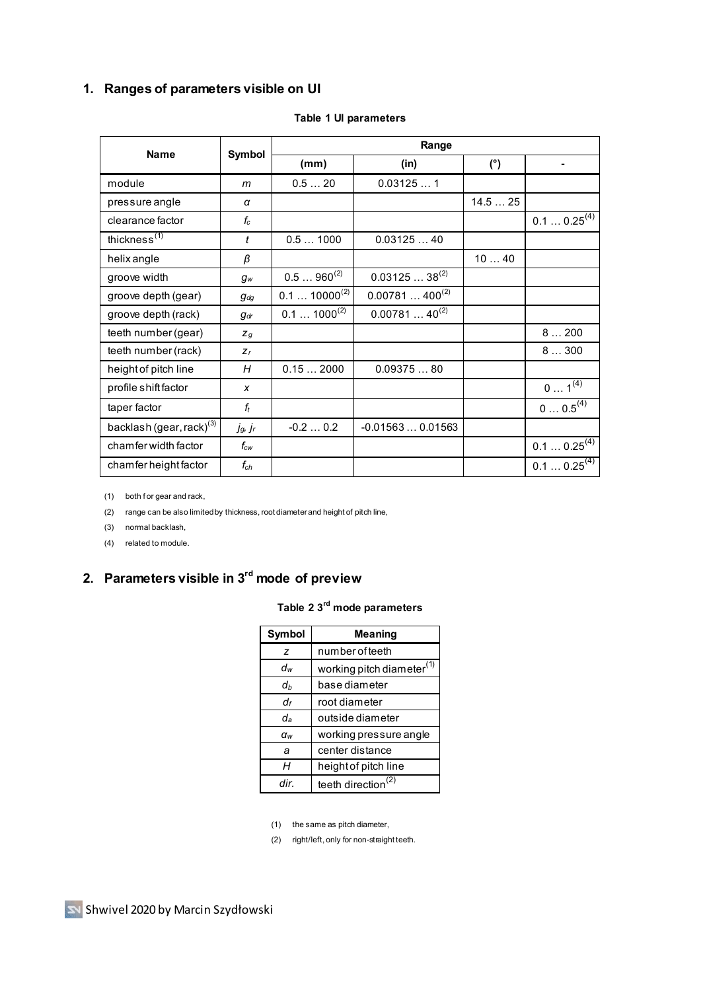### **1. Ranges of parameters visible on UI**

| <b>Name</b>                          | Symbol                      | Range                      |                    |        |                    |
|--------------------------------------|-----------------------------|----------------------------|--------------------|--------|--------------------|
|                                      |                             | (mm)                       | (in)               | (°)    | $\blacksquare$     |
| module                               | m                           | 0.520                      | 0.031251           |        |                    |
| pressure angle                       | α                           |                            |                    | 14.525 |                    |
| clearance factor                     | $f_c$                       |                            |                    |        | $0.10.25^{(4)}$    |
| thickness <sup>(1)</sup>             | t                           | 0.51000                    | 0.0312540          |        |                    |
| helix angle                          | β                           |                            |                    | 1040   |                    |
| groove width                         | $g_w$                       | $0.5960^{(2)}$             | $0.0312538^{(2)}$  |        |                    |
| groove depth (gear)                  | $g_{dq}$                    | $0.1$ 10000 <sup>(2)</sup> | $0.00781400^{(2)}$ |        |                    |
| groove depth (rack)                  | $q_{dr}$                    | $0.1$ 1000 <sup>(2)</sup>  | $0.0078140^{(2)}$  |        |                    |
| teeth number (gear)                  | $Z_q$                       |                            |                    |        | 8200               |
| teeth number (rack)                  | $Z_r$                       |                            |                    |        | 8300               |
| height of pitch line                 | Н                           | 0.152000                   | 0.0937580          |        |                    |
| profile shift factor                 | X                           |                            |                    |        | $0 1^{(4)}$        |
| taper factor                         | $f_t$                       |                            |                    |        | $0 0.5^{(4)}$      |
| backlash (gear, rack) <sup>(3)</sup> | jg, jr                      | $-0.20.2$                  | $-0.015630.01563$  |        |                    |
| chamfer width factor                 | $f_{\scriptscriptstyle CW}$ |                            |                    |        | $0.10.25^{(4)}$    |
| chamfer height factor                | $f_{ch}$                    |                            |                    |        | $0.1$ $0.25^{(4)}$ |

#### **Table 1 UI parameters**

(1) both f or gear and rack,

(2) range can be also limited by thickness, root diameter and height of pitch line,

(3) normal backlash,

(4) related to module.

# **2. Parameters visible in 3rd mode of preview**

#### **Table 2 3 rd mode parameters**

| Symbol       | <b>Meaning</b>                        |  |  |
|--------------|---------------------------------------|--|--|
| z            | number of teeth                       |  |  |
| dw           | working pitch diameter <sup>(1)</sup> |  |  |
| dh           | base diameter                         |  |  |
| df           | root diameter                         |  |  |
| da           | outside diameter                      |  |  |
| $\alpha_{w}$ | working pressure angle                |  |  |
| a            | center distance                       |  |  |
| н            | height of pitch line                  |  |  |
| dir          | teeth direction <sup>(2)</sup>        |  |  |

(1) the same as pitch diameter,

(2) right/left, only for non-straight teeth.